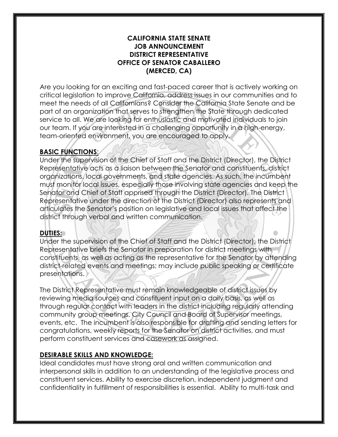#### **CALIFORNIA STATE SENATE JOB ANNOUNCEMENT DISTRICT REPRESENTATIVE OFFICE OF SENATOR CABALLERO (MERCED, CA)**

Are you looking for an exciting and fast-paced career that is actively working on critical legislation to improve California, address issues in our communities and to meet the needs of all Californians? Consider the California State Senate and be part of an organization that serves to strengthen the State through dedicated service to all. We are looking for enthusiastic and motivated individuals to join our team. If you are interested in a challenging opportunity in a high-energy, team-oriented environment, you are encouraged to apply.

### **BASIC FUNCTIONS**:

Under the supervision of the Chief of Staff and the District (Director), the District Representative acts as a liaison between the Senator and constituents, district organizations, local governments, and state agencies. As such, the incumbent must monitor local issues, especially those involving state agencies and keep the Senator and Chief of Staff apprised through the District (Director). The District Representative under the direction of the District (Director) also represents and articulates the Senator's position on legislative and local issues that affect the district through verbal and written communication.

### **DUTIES:**

Under the supervision of the Chief of Staff and the District (Director), the District Representative briefs the Senator in preparation for district meetings with constituents, as well as acting as the representative for the Senator by attending district-related events and meetings; may include public speaking or certificate presentations.

The District Representative must remain knowledgeable of district issues by reviewing media sources and constituent input on a daily basis, as well as through regular contact with leaders in the district including regularly attending community group meetings, City Council and Board of Supervisor meetings, events, etc. The incumbent is also responsible for drafting and sending letters for congratulations, weekly reports for the Senator on district activities, and must perform constituent services and casework as assigned.

### **DESIRABLE SKILLS AND KNOWLEDGE:**

Ideal candidates must have strong oral and written communication and interpersonal skills in addition to an understanding of the legislative process and constituent services. Ability to exercise discretion, independent judgment and confidentiality in fulfillment of responsibilities is essential. Ability to multi-task and